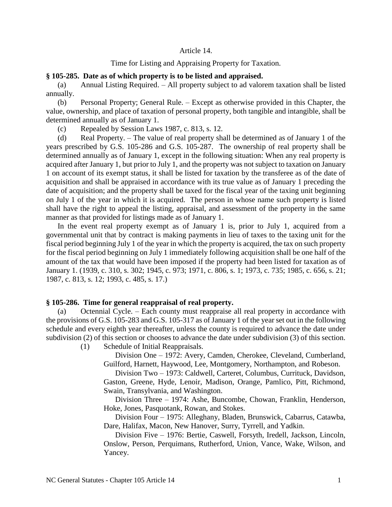## Article 14.

## Time for Listing and Appraising Property for Taxation.

## **§ 105-285. Date as of which property is to be listed and appraised.**

(a) Annual Listing Required. – All property subject to ad valorem taxation shall be listed annually.

(b) Personal Property; General Rule. – Except as otherwise provided in this Chapter, the value, ownership, and place of taxation of personal property, both tangible and intangible, shall be determined annually as of January 1.

(c) Repealed by Session Laws 1987, c. 813, s. 12.

(d) Real Property. – The value of real property shall be determined as of January 1 of the years prescribed by G.S. 105-286 and G.S. 105-287. The ownership of real property shall be determined annually as of January 1, except in the following situation: When any real property is acquired after January 1, but prior to July 1, and the property was not subject to taxation on January 1 on account of its exempt status, it shall be listed for taxation by the transferee as of the date of acquisition and shall be appraised in accordance with its true value as of January 1 preceding the date of acquisition; and the property shall be taxed for the fiscal year of the taxing unit beginning on July 1 of the year in which it is acquired. The person in whose name such property is listed shall have the right to appeal the listing, appraisal, and assessment of the property in the same manner as that provided for listings made as of January 1.

In the event real property exempt as of January 1 is, prior to July 1, acquired from a governmental unit that by contract is making payments in lieu of taxes to the taxing unit for the fiscal period beginning July 1 of the year in which the property is acquired, the tax on such property for the fiscal period beginning on July 1 immediately following acquisition shall be one half of the amount of the tax that would have been imposed if the property had been listed for taxation as of January 1. (1939, c. 310, s. 302; 1945, c. 973; 1971, c. 806, s. 1; 1973, c. 735; 1985, c. 656, s. 21; 1987, c. 813, s. 12; 1993, c. 485, s. 17.)

# **§ 105-286. Time for general reappraisal of real property.**

(a) Octennial Cycle. – Each county must reappraise all real property in accordance with the provisions of G.S. 105-283 and G.S. 105-317 as of January 1 of the year set out in the following schedule and every eighth year thereafter, unless the county is required to advance the date under subdivision (2) of this section or chooses to advance the date under subdivision (3) of this section.

(1) Schedule of Initial Reappraisals.

Division One – 1972: Avery, Camden, Cherokee, Cleveland, Cumberland, Guilford, Harnett, Haywood, Lee, Montgomery, Northampton, and Robeson.

Division Two – 1973: Caldwell, Carteret, Columbus, Currituck, Davidson, Gaston, Greene, Hyde, Lenoir, Madison, Orange, Pamlico, Pitt, Richmond, Swain, Transylvania, and Washington.

Division Three – 1974: Ashe, Buncombe, Chowan, Franklin, Henderson, Hoke, Jones, Pasquotank, Rowan, and Stokes.

Division Four – 1975: Alleghany, Bladen, Brunswick, Cabarrus, Catawba, Dare, Halifax, Macon, New Hanover, Surry, Tyrrell, and Yadkin.

Division Five – 1976: Bertie, Caswell, Forsyth, Iredell, Jackson, Lincoln, Onslow, Person, Perquimans, Rutherford, Union, Vance, Wake, Wilson, and Yancey.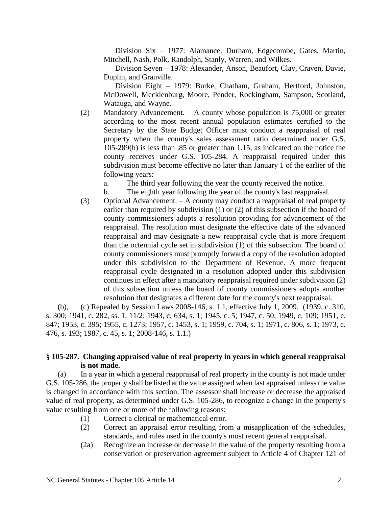Division Six – 1977: Alamance, Durham, Edgecombe, Gates, Martin, Mitchell, Nash, Polk, Randolph, Stanly, Warren, and Wilkes.

Division Seven – 1978: Alexander, Anson, Beaufort, Clay, Craven, Davie, Duplin, and Granville.

Division Eight – 1979: Burke, Chatham, Graham, Hertford, Johnston, McDowell, Mecklenburg, Moore, Pender, Rockingham, Sampson, Scotland, Watauga, and Wayne.

(2) Mandatory Advancement. – A county whose population is 75,000 or greater according to the most recent annual population estimates certified to the Secretary by the State Budget Officer must conduct a reappraisal of real property when the county's sales assessment ratio determined under G.S. 105-289(h) is less than .85 or greater than 1.15, as indicated on the notice the county receives under G.S. 105-284. A reappraisal required under this subdivision must become effective no later than January 1 of the earlier of the following years:

a. The third year following the year the county received the notice.

- b. The eighth year following the year of the county's last reappraisal.
- (3) Optional Advancement. A county may conduct a reappraisal of real property earlier than required by subdivision (1) or (2) of this subsection if the board of county commissioners adopts a resolution providing for advancement of the reappraisal. The resolution must designate the effective date of the advanced reappraisal and may designate a new reappraisal cycle that is more frequent than the octennial cycle set in subdivision (1) of this subsection. The board of county commissioners must promptly forward a copy of the resolution adopted under this subdivision to the Department of Revenue. A more frequent reappraisal cycle designated in a resolution adopted under this subdivision continues in effect after a mandatory reappraisal required under subdivision (2) of this subsection unless the board of county commissioners adopts another resolution that designates a different date for the county's next reappraisal.

(b), (c) Repealed by Session Laws 2008-146, s. 1.1, effective July 1, 2009. (1939, c. 310, s. 300; 1941, c. 282, ss. 1, 11/2; 1943, c. 634, s. 1; 1945, c. 5; 1947, c. 50; 1949, c. 109; 1951, c. 847; 1953, c. 395; 1955, c. 1273; 1957, c. 1453, s. 1; 1959, c. 704, s. 1; 1971, c. 806, s. 1; 1973, c. 476, s. 193; 1987, c. 45, s. 1; 2008-146, s. 1.1.)

# **§ 105-287. Changing appraised value of real property in years in which general reappraisal is not made.**

(a) In a year in which a general reappraisal of real property in the county is not made under G.S. 105-286, the property shall be listed at the value assigned when last appraised unless the value is changed in accordance with this section. The assessor shall increase or decrease the appraised value of real property, as determined under G.S. 105-286, to recognize a change in the property's value resulting from one or more of the following reasons:

- (1) Correct a clerical or mathematical error.
- (2) Correct an appraisal error resulting from a misapplication of the schedules, standards, and rules used in the county's most recent general reappraisal.
- (2a) Recognize an increase or decrease in the value of the property resulting from a conservation or preservation agreement subject to Article 4 of Chapter 121 of